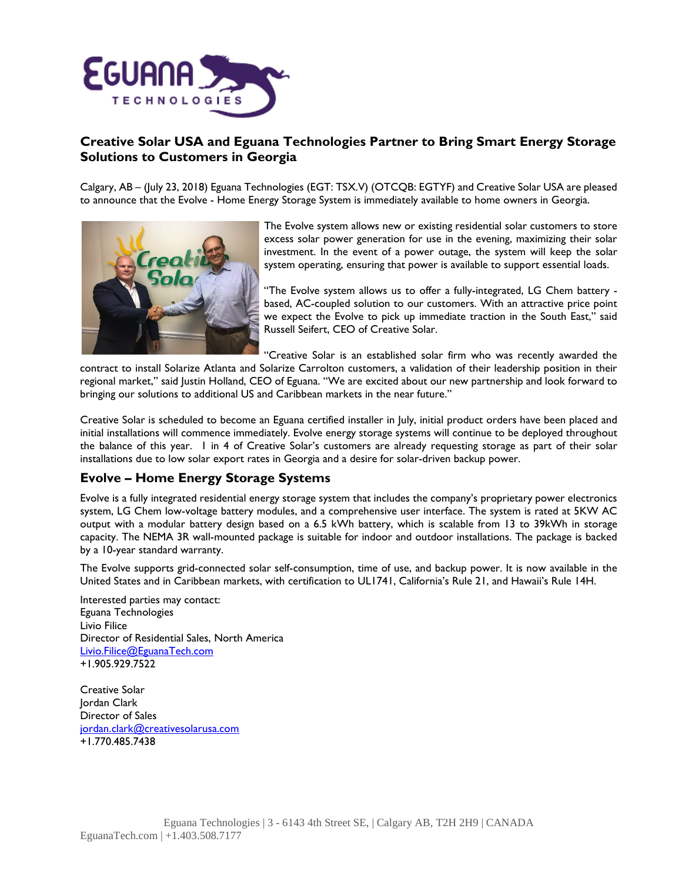

## **Creative Solar USA and Eguana Technologies Partner to Bring Smart Energy Storage Solutions to Customers in Georgia**

Calgary, AB – (July 23, 2018) Eguana Technologies (EGT: TSX.V) (OTCQB: EGTYF) and Creative Solar USA are pleased to announce that the Evolve - Home Energy Storage System is immediately available to home owners in Georgia.



The Evolve system allows new or existing residential solar customers to store excess solar power generation for use in the evening, maximizing their solar investment. In the event of a power outage, the system will keep the solar system operating, ensuring that power is available to support essential loads.

"The Evolve system allows us to offer a fully-integrated, LG Chem battery based, AC-coupled solution to our customers. With an attractive price point we expect the Evolve to pick up immediate traction in the South East," said Russell Seifert, CEO of Creative Solar.

"Creative Solar is an established solar firm who was recently awarded the

contract to install Solarize Atlanta and Solarize Carrolton customers, a validation of their leadership position in their regional market," said Justin Holland, CEO of Eguana. "We are excited about our new partnership and look forward to bringing our solutions to additional US and Caribbean markets in the near future."

Creative Solar is scheduled to become an Eguana certified installer in July, initial product orders have been placed and initial installations will commence immediately. Evolve energy storage systems will continue to be deployed throughout the balance of this year. 1 in 4 of Creative Solar's customers are already requesting storage as part of their solar installations due to low solar export rates in Georgia and a desire for solar-driven backup power.

# **Evolve – Home Energy Storage Systems**

Evolve is a fully integrated residential energy storage system that includes the company's proprietary power electronics system, LG Chem low-voltage battery modules, and a comprehensive user interface. The system is rated at 5KW AC output with a modular battery design based on a 6.5 kWh battery, which is scalable from 13 to 39kWh in storage capacity. The NEMA 3R wall-mounted package is suitable for indoor and outdoor installations. The package is backed by a 10-year standard warranty.

The Evolve supports grid-connected solar self-consumption, time of use, and backup power. It is now available in the United States and in Caribbean markets, with certification to UL1741, California's Rule 21, and Hawaii's Rule 14H.

Interested parties may contact: Eguana Technologies Livio Filice Director of Residential Sales, North America [Livio.Filice@EguanaTech.com](mailto:Livio.Filice@EguanaTech.com) +1.905.929.7522

Creative Solar Jordan Clark Director of Sales [jordan.clark@creativesolarusa.com](mailto:jordan.clark@creativesolarusa.com) +1.770.485.7438